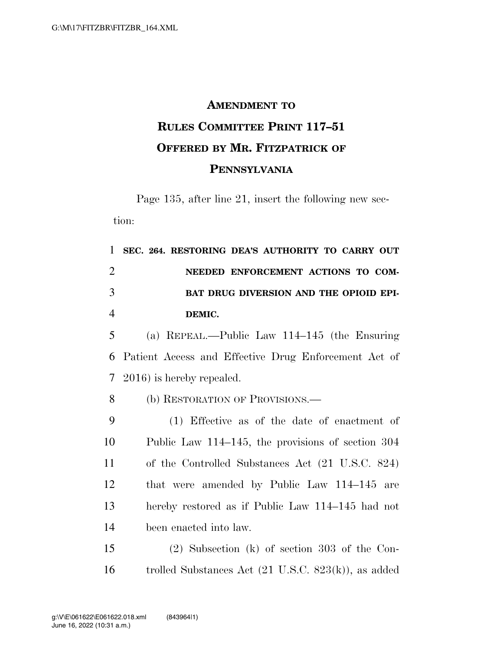## **AMENDMENT TO RULES COMMITTEE PRINT 117–51 OFFERED BY MR. FITZPATRICK OF PENNSYLVANIA**

Page 135, after line 21, insert the following new section:

 **SEC. 264. RESTORING DEA'S AUTHORITY TO CARRY OUT NEEDED ENFORCEMENT ACTIONS TO COM- BAT DRUG DIVERSION AND THE OPIOID EPI-**4 **DEMIC.**  (a) REPEAL.—Public Law 114–145 (the Ensuring Patient Access and Effective Drug Enforcement Act of 2016) is hereby repealed. 8 (b) RESTORATION OF PROVISIONS.— (1) Effective as of the date of enactment of Public Law 114–145, the provisions of section 304

 of the Controlled Substances Act (21 U.S.C. 824) that were amended by Public Law 114–145 are hereby restored as if Public Law 114–145 had not been enacted into law.

15 (2) Subsection (k) of section 303 of the Con-16 trolled Substances Act (21 U.S.C. 823(k)), as added